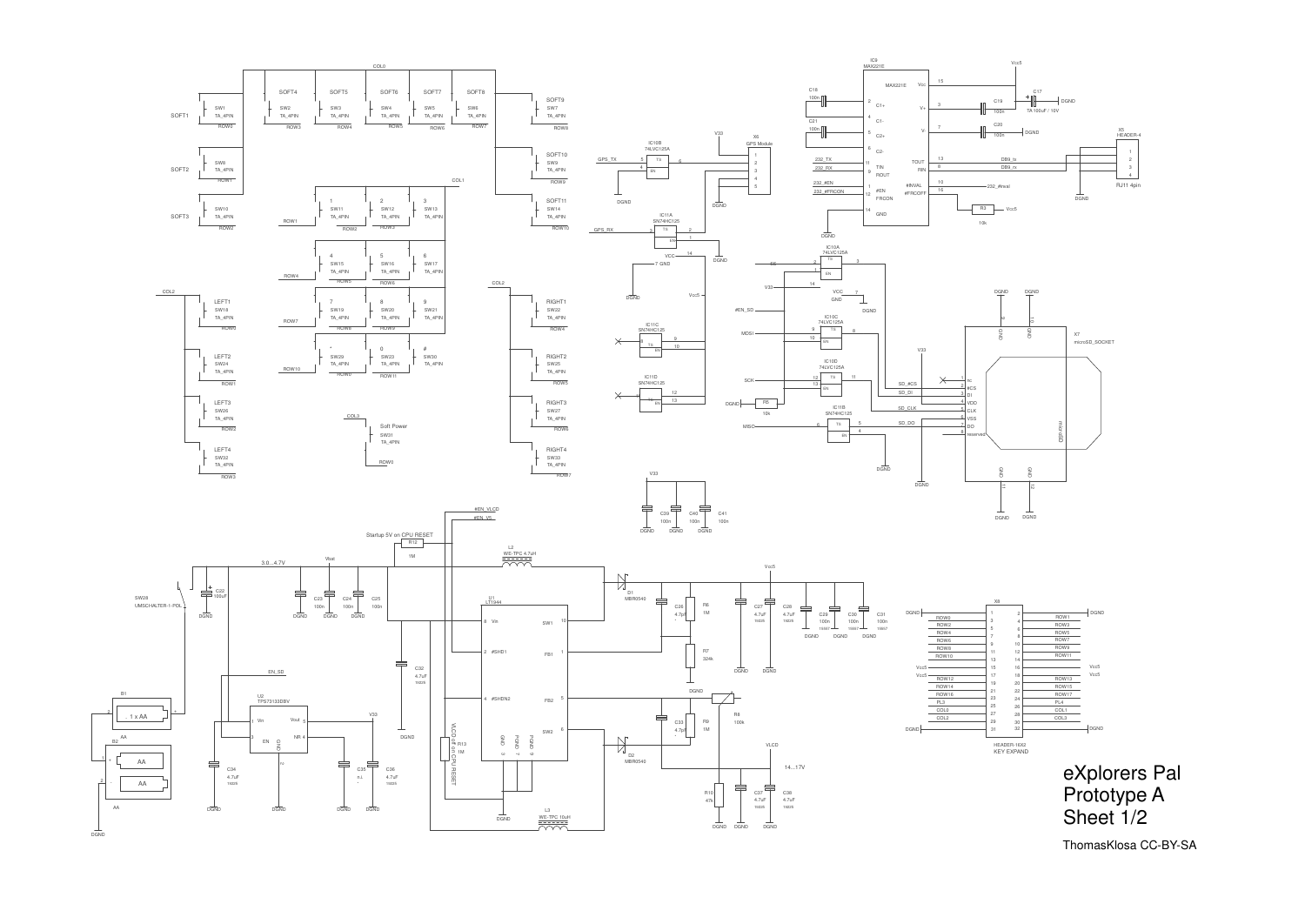

## eXplorers Pal Prototype ASheet 1/2

| X8 |                |                  |             |
|----|----------------|------------------|-------------|
| 1  | $\overline{c}$ |                  | <b>DGND</b> |
| 3  | $\overline{4}$ | ROW1             |             |
| 5  |                | ROW <sub>3</sub> |             |
| 7  | 6              | ROW <sub>5</sub> |             |
|    | 8              | ROW7             |             |
| 9  | 10             | ROW9             |             |
| 11 | 12             | <b>ROW11</b>     |             |
| 13 | 14             |                  |             |
| 15 | 16             |                  | Vcc5        |
| 17 | 18             | <b>ROW13</b>     | Vcc5        |
| 19 | 20             |                  |             |
| 21 | 22             | <b>ROW15</b>     |             |
| 23 | 24             | <b>ROW17</b>     |             |
| 25 | 26             | PL <sub>4</sub>  |             |
| 27 | 28             | COL1             |             |
|    |                | COL3             |             |
| 29 | 30             |                  |             |
| 31 | 32             |                  | <b>DGND</b> |

1

ThomasKlosa CC-BY-SA